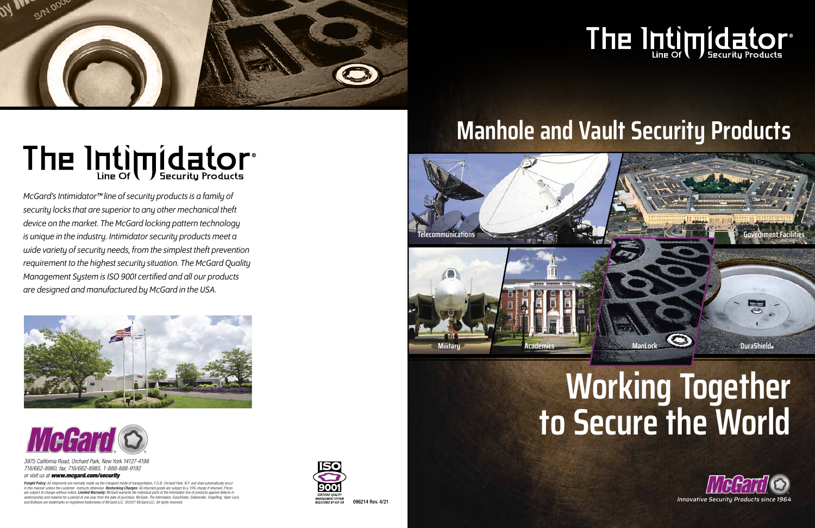

## The Intimpidator®



*McGard's Intimidator™ line of security products is a family of security locks that are superior to any other mechanical theft device on the market. The McGard locking pattern technology is unique in the industry. Intimidator security products meet a wide variety of security needs, from the simplest theft prevention requirement to the highest security situation. The McGard Quality Management System is ISO 9001 certified and all our products are designed and manufactured by McGard in the USA.*





*Freight Policy: All shipments are normally made via the cheapest mode of transportation, F.O.B. Orchard Park, N.Y. and shall automatically occur*  in this manner unless the customer instructs otherwise. **Restocking Charges:** All returned goods are subject to a 15% charge if returned. Prices *are subject to change without notice. Limited Warranty: McGard warrants the individual parts of the Intimidator line of products against defects in workmanship and material for a period of one year from the date of purchase. McGard, The Intimidator, DuraShield, Sidewinder, SnapRing, Viper Lock, and Bullseye are trademarks or registered trademarks of McGard LLC. ©2021 McGard LLC. All rights reserved.* Common, chapting, specified, and the common product trademarks or registered trademarks of McGard LLC. ©2021 McGa



#### **Manhole and Vault Security Products**

## **Working Together to Secure the World**

## The Intimoridator®





*3875 California Road, Orchard Park, New York 14127-4198 716/662-8980, fax: 716/662-8985, 1-888-888-9192*

#### *or visit us at www.mcgard.com/security*